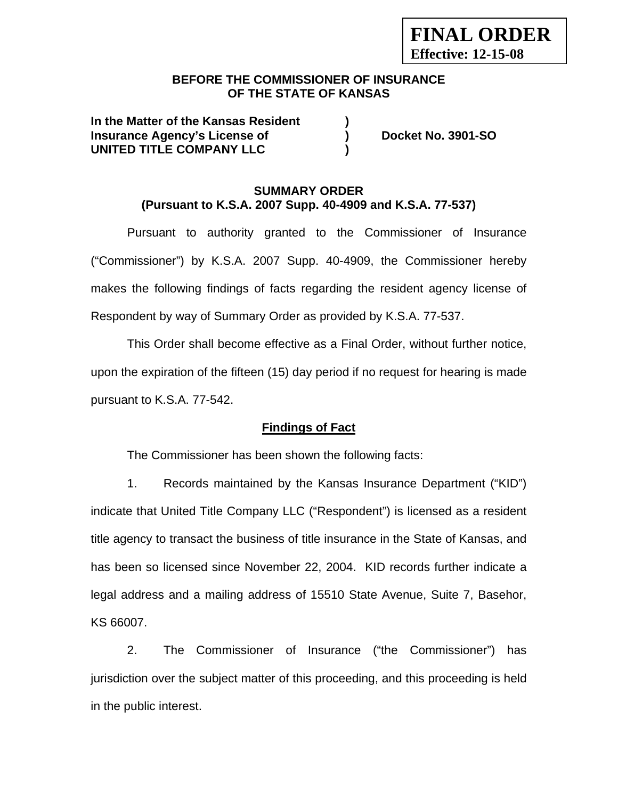# **BEFORE THE COMMISSIONER OF INSURANCE OF THE STATE OF KANSAS**

**In the Matter of the Kansas Resident ) Insurance Agency's License of ) Docket No. 3901-SO UNITED TITLE COMPANY LLC )** 

# **SUMMARY ORDER (Pursuant to K.S.A. 2007 Supp. 40-4909 and K.S.A. 77-537)**

Pursuant to authority granted to the Commissioner of Insurance ("Commissioner") by K.S.A. 2007 Supp. 40-4909, the Commissioner hereby makes the following findings of facts regarding the resident agency license of Respondent by way of Summary Order as provided by K.S.A. 77-537.

This Order shall become effective as a Final Order, without further notice, upon the expiration of the fifteen (15) day period if no request for hearing is made pursuant to K.S.A. 77-542.

# **Findings of Fact**

The Commissioner has been shown the following facts:

1. Records maintained by the Kansas Insurance Department ("KID") indicate that United Title Company LLC ("Respondent") is licensed as a resident title agency to transact the business of title insurance in the State of Kansas, and has been so licensed since November 22, 2004. KID records further indicate a legal address and a mailing address of 15510 State Avenue, Suite 7, Basehor, KS 66007.

2. The Commissioner of Insurance ("the Commissioner") has jurisdiction over the subject matter of this proceeding, and this proceeding is held in the public interest.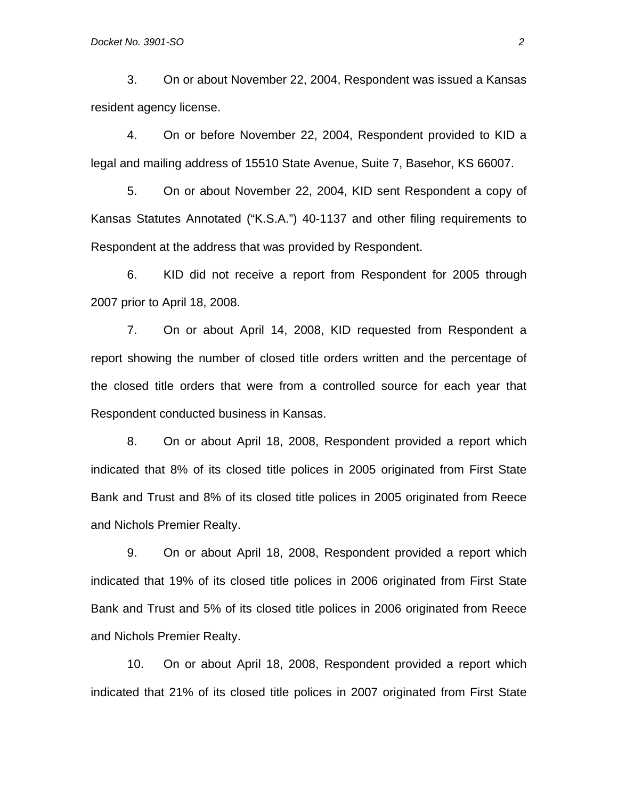3. On or about November 22, 2004, Respondent was issued a Kansas resident agency license.

4. On or before November 22, 2004, Respondent provided to KID a legal and mailing address of 15510 State Avenue, Suite 7, Basehor, KS 66007.

5. On or about November 22, 2004, KID sent Respondent a copy of Kansas Statutes Annotated ("K.S.A.") 40-1137 and other filing requirements to Respondent at the address that was provided by Respondent.

6. KID did not receive a report from Respondent for 2005 through 2007 prior to April 18, 2008.

7. On or about April 14, 2008, KID requested from Respondent a report showing the number of closed title orders written and the percentage of the closed title orders that were from a controlled source for each year that Respondent conducted business in Kansas.

8. On or about April 18, 2008, Respondent provided a report which indicated that 8% of its closed title polices in 2005 originated from First State Bank and Trust and 8% of its closed title polices in 2005 originated from Reece and Nichols Premier Realty.

9. On or about April 18, 2008, Respondent provided a report which indicated that 19% of its closed title polices in 2006 originated from First State Bank and Trust and 5% of its closed title polices in 2006 originated from Reece and Nichols Premier Realty.

10. On or about April 18, 2008, Respondent provided a report which indicated that 21% of its closed title polices in 2007 originated from First State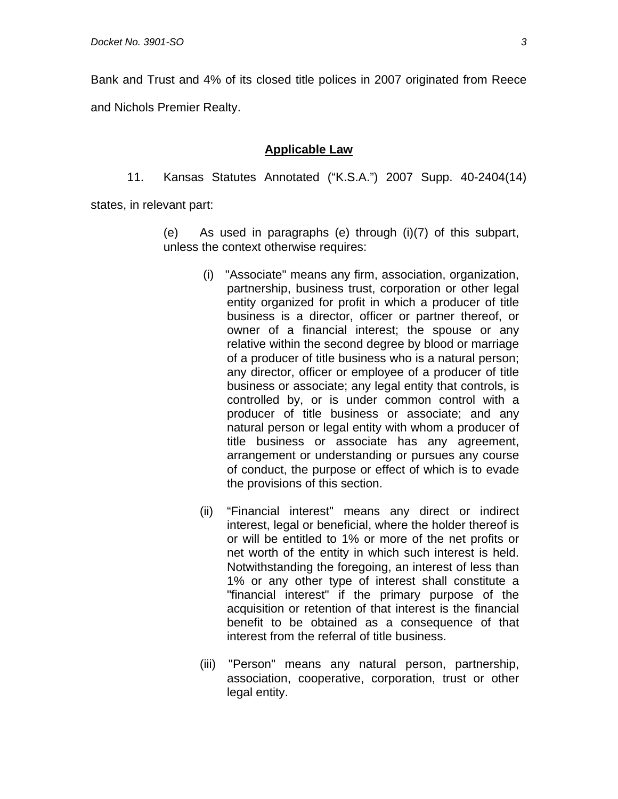Bank and Trust and 4% of its closed title polices in 2007 originated from Reece and Nichols Premier Realty.

### **Applicable Law**

11. Kansas Statutes Annotated ("K.S.A.") 2007 Supp. 40-2404(14)

states, in relevant part:

(e) As used in paragraphs (e) through (i)(7) of this subpart, unless the context otherwise requires:

- (i) "Associate" means any firm, association, organization, partnership, business trust, corporation or other legal entity organized for profit in which a producer of title business is a director, officer or partner thereof, or owner of a financial interest; the spouse or any relative within the second degree by blood or marriage of a producer of title business who is a natural person; any director, officer or employee of a producer of title business or associate; any legal entity that controls, is controlled by, or is under common control with a producer of title business or associate; and any natural person or legal entity with whom a producer of title business or associate has any agreement, arrangement or understanding or pursues any course of conduct, the purpose or effect of which is to evade the provisions of this section.
- (ii) "Financial interest" means any direct or indirect interest, legal or beneficial, where the holder thereof is or will be entitled to 1% or more of the net profits or net worth of the entity in which such interest is held. Notwithstanding the foregoing, an interest of less than 1% or any other type of interest shall constitute a "financial interest" if the primary purpose of the acquisition or retention of that interest is the financial benefit to be obtained as a consequence of that interest from the referral of title business.
- (iii) "Person" means any natural person, partnership, association, cooperative, corporation, trust or other legal entity.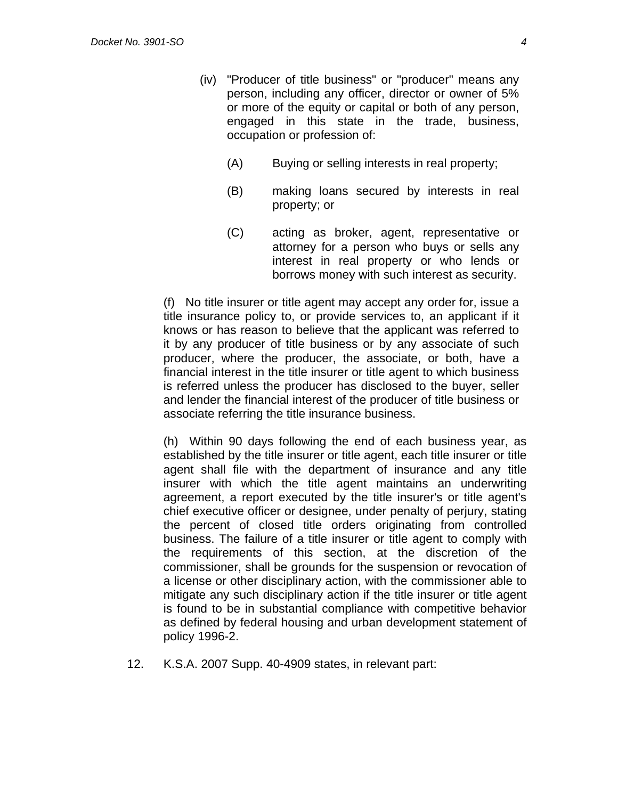- (iv) "Producer of title business" or "producer" means any person, including any officer, director or owner of 5% or more of the equity or capital or both of any person, engaged in this state in the trade, business, occupation or profession of:
	- (A) Buying or selling interests in real property;
	- (B) making loans secured by interests in real property; or
	- (C) acting as broker, agent, representative or attorney for a person who buys or sells any interest in real property or who lends or borrows money with such interest as security.

(f) No title insurer or title agent may accept any order for, issue a title insurance policy to, or provide services to, an applicant if it knows or has reason to believe that the applicant was referred to it by any producer of title business or by any associate of such producer, where the producer, the associate, or both, have a financial interest in the title insurer or title agent to which business is referred unless the producer has disclosed to the buyer, seller and lender the financial interest of the producer of title business or associate referring the title insurance business.

(h) Within 90 days following the end of each business year, as established by the title insurer or title agent, each title insurer or title agent shall file with the department of insurance and any title insurer with which the title agent maintains an underwriting agreement, a report executed by the title insurer's or title agent's chief executive officer or designee, under penalty of perjury, stating the percent of closed title orders originating from controlled business. The failure of a title insurer or title agent to comply with the requirements of this section, at the discretion of the commissioner, shall be grounds for the suspension or revocation of a license or other disciplinary action, with the commissioner able to mitigate any such disciplinary action if the title insurer or title agent is found to be in substantial compliance with competitive behavior as defined by federal housing and urban development statement of policy 1996-2.

12. K.S.A. 2007 Supp. 40-4909 states, in relevant part: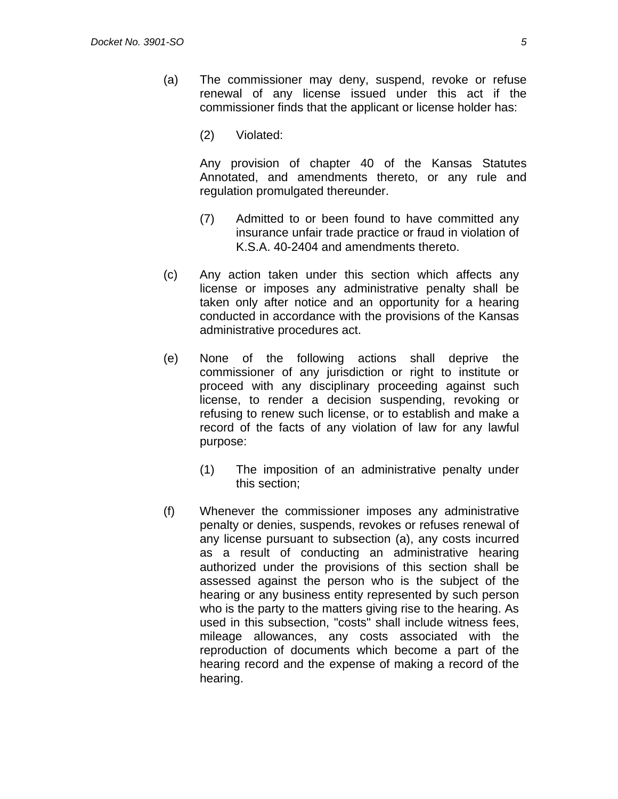- (a) The commissioner may deny, suspend, revoke or refuse renewal of any license issued under this act if the commissioner finds that the applicant or license holder has:
	- (2) Violated:

 Any provision of chapter 40 of the Kansas Statutes Annotated, and amendments thereto, or any rule and regulation promulgated thereunder.

- (7) Admitted to or been found to have committed any insurance unfair trade practice or fraud in violation of K.S.A. 40-2404 and amendments thereto.
- (c) Any action taken under this section which affects any license or imposes any administrative penalty shall be taken only after notice and an opportunity for a hearing conducted in accordance with the provisions of the Kansas administrative procedures act.
- (e) None of the following actions shall deprive the commissioner of any jurisdiction or right to institute or proceed with any disciplinary proceeding against such license, to render a decision suspending, revoking or refusing to renew such license, or to establish and make a record of the facts of any violation of law for any lawful purpose:
	- (1) The imposition of an administrative penalty under this section;
- (f) Whenever the commissioner imposes any administrative penalty or denies, suspends, revokes or refuses renewal of any license pursuant to subsection (a), any costs incurred as a result of conducting an administrative hearing authorized under the provisions of this section shall be assessed against the person who is the subject of the hearing or any business entity represented by such person who is the party to the matters giving rise to the hearing. As used in this subsection, "costs" shall include witness fees, mileage allowances, any costs associated with the reproduction of documents which become a part of the hearing record and the expense of making a record of the hearing.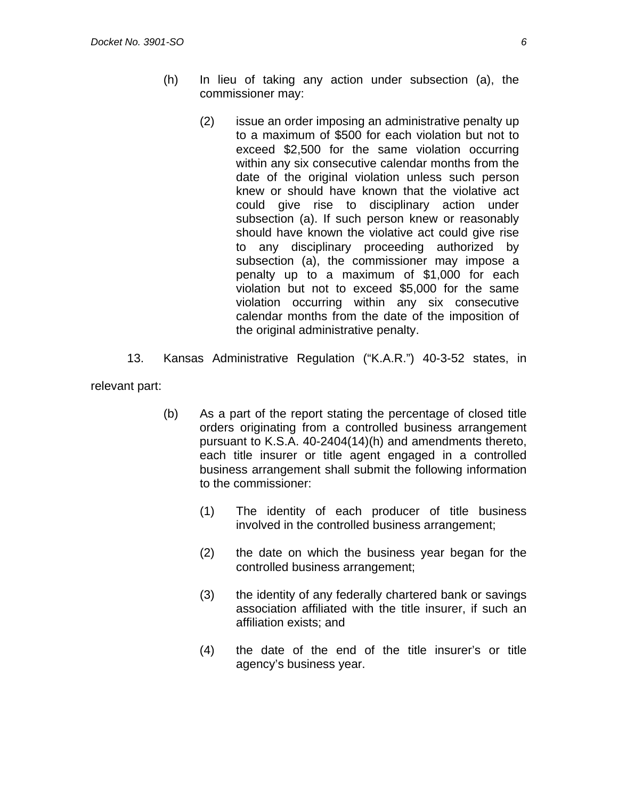- (h) In lieu of taking any action under subsection (a), the commissioner may:
	- (2) issue an order imposing an administrative penalty up to a maximum of \$500 for each violation but not to exceed \$2,500 for the same violation occurring within any six consecutive calendar months from the date of the original violation unless such person knew or should have known that the violative act could give rise to disciplinary action under subsection (a). If such person knew or reasonably should have known the violative act could give rise to any disciplinary proceeding authorized by subsection (a), the commissioner may impose a penalty up to a maximum of \$1,000 for each violation but not to exceed \$5,000 for the same violation occurring within any six consecutive calendar months from the date of the imposition of the original administrative penalty.
- 13. Kansas Administrative Regulation ("K.A.R.") 40-3-52 states, in

relevant part:

- (b) As a part of the report stating the percentage of closed title orders originating from a controlled business arrangement pursuant to K.S.A. 40-2404(14)(h) and amendments thereto, each title insurer or title agent engaged in a controlled business arrangement shall submit the following information to the commissioner:
	- (1) The identity of each producer of title business involved in the controlled business arrangement;
	- (2) the date on which the business year began for the controlled business arrangement;
	- (3) the identity of any federally chartered bank or savings association affiliated with the title insurer, if such an affiliation exists; and
	- (4) the date of the end of the title insurer's or title agency's business year.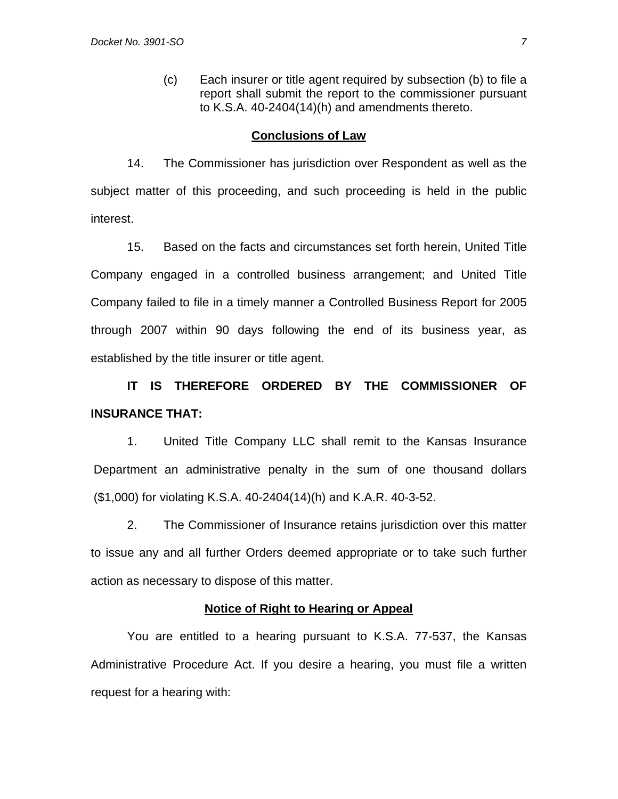(c) Each insurer or title agent required by subsection (b) to file a report shall submit the report to the commissioner pursuant to K.S.A. 40-2404(14)(h) and amendments thereto.

### **Conclusions of Law**

14. The Commissioner has jurisdiction over Respondent as well as the subject matter of this proceeding, and such proceeding is held in the public interest.

15. Based on the facts and circumstances set forth herein, United Title Company engaged in a controlled business arrangement; and United Title Company failed to file in a timely manner a Controlled Business Report for 2005 through 2007 within 90 days following the end of its business year, as established by the title insurer or title agent.

**IT IS THEREFORE ORDERED BY THE COMMISSIONER OF INSURANCE THAT:** 

1. United Title Company LLC shall remit to the Kansas Insurance Department an administrative penalty in the sum of one thousand dollars (\$1,000) for violating K.S.A. 40-2404(14)(h) and K.A.R. 40-3-52.

2. The Commissioner of Insurance retains jurisdiction over this matter to issue any and all further Orders deemed appropriate or to take such further action as necessary to dispose of this matter.

#### **Notice of Right to Hearing or Appeal**

You are entitled to a hearing pursuant to K.S.A. 77-537, the Kansas Administrative Procedure Act. If you desire a hearing, you must file a written request for a hearing with: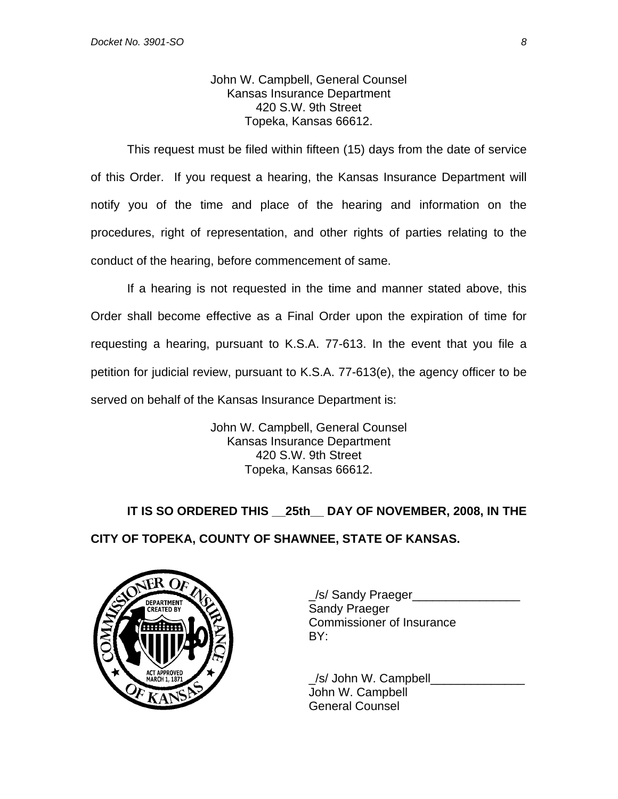John W. Campbell, General Counsel Kansas Insurance Department 420 S.W. 9th Street Topeka, Kansas 66612.

This request must be filed within fifteen (15) days from the date of service of this Order. If you request a hearing, the Kansas Insurance Department will notify you of the time and place of the hearing and information on the procedures, right of representation, and other rights of parties relating to the conduct of the hearing, before commencement of same.

If a hearing is not requested in the time and manner stated above, this Order shall become effective as a Final Order upon the expiration of time for requesting a hearing, pursuant to K.S.A. 77-613. In the event that you file a petition for judicial review, pursuant to K.S.A. 77-613(e), the agency officer to be served on behalf of the Kansas Insurance Department is:

> John W. Campbell, General Counsel Kansas Insurance Department 420 S.W. 9th Street Topeka, Kansas 66612.

**IT IS SO ORDERED THIS \_\_25th\_\_ DAY OF NOVEMBER, 2008, IN THE CITY OF TOPEKA, COUNTY OF SHAWNEE, STATE OF KANSAS.** 



\_/s/ Sandy Praeger\_\_\_\_\_\_\_\_\_\_\_\_\_\_\_\_ Commissioner of Insurance

/s/ John W. Campbell John W. Campbell General Counsel